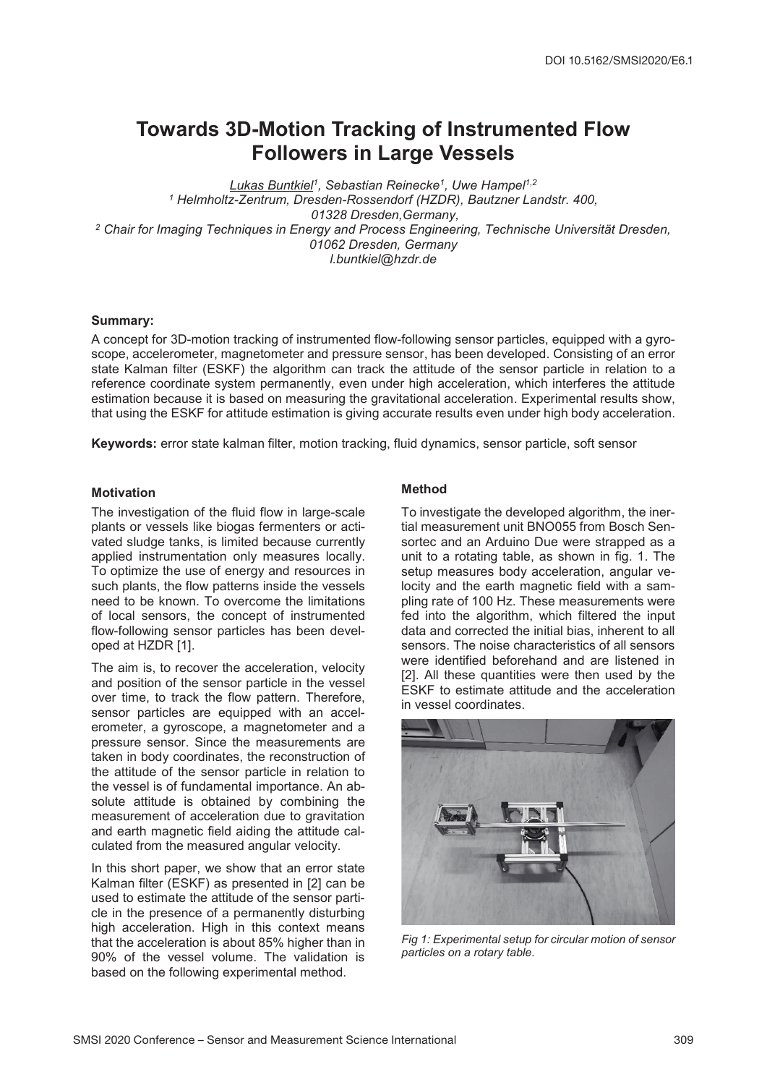# **Towards 3D-Motion Tracking of Instrumented Flow Followers in Large Vessels**

*Lukas Buntkiel1, Sebastian Reinecke1, Uwe Hampel1,2 <sup>1</sup> Helmholtz-Zentrum, Dresden-Rossendorf (HZDR), Bautzner Landstr. 400, 01328 Dresden,Germany, <sup>2</sup> Chair for Imaging Techniques in Energy and Process Engineering, Technische Universität Dresden, 01062 Dresden, Germany l.buntkiel@hzdr.de*

## **Summary:**

A concept for 3D-motion tracking of instrumented flow-following sensor particles, equipped with a gyroscope, accelerometer, magnetometer and pressure sensor, has been developed. Consisting of an error state Kalman filter (ESKF) the algorithm can track the attitude of the sensor particle in relation to a reference coordinate system permanently, even under high acceleration, which interferes the attitude estimation because it is based on measuring the gravitational acceleration. Experimental results show, that using the ESKF for attitude estimation is giving accurate results even under high body acceleration.

**Keywords:** error state kalman filter, motion tracking, fluid dynamics, sensor particle, soft sensor

## **Motivation**

The investigation of the fluid flow in large-scale plants or vessels like biogas fermenters or activated sludge tanks, is limited because currently applied instrumentation only measures locally. To optimize the use of energy and resources in such plants, the flow patterns inside the vessels need to be known. To overcome the limitations of local sensors, the concept of instrumented flow-following sensor particles has been developed at HZDR [1].

The aim is, to recover the acceleration, velocity and position of the sensor particle in the vessel over time, to track the flow pattern. Therefore, sensor particles are equipped with an accelerometer, a gyroscope, a magnetometer and a pressure sensor. Since the measurements are taken in body coordinates, the reconstruction of the attitude of the sensor particle in relation to the vessel is of fundamental importance. An absolute attitude is obtained by combining the measurement of acceleration due to gravitation and earth magnetic field aiding the attitude calculated from the measured angular velocity.

In this short paper, we show that an error state Kalman filter (ESKF) as presented in [2] can be used to estimate the attitude of the sensor particle in the presence of a permanently disturbing high acceleration. High in this context means that the acceleration is about 85% higher than in 90% of the vessel volume. The validation is based on the following experimental method.

# **Method**

To investigate the developed algorithm, the inertial measurement unit BNO055 from Bosch Sensortec and an Arduino Due were strapped as a unit to a rotating table, as shown in fig. 1. The setup measures body acceleration, angular velocity and the earth magnetic field with a sampling rate of 100 Hz. These measurements were fed into the algorithm, which filtered the input data and corrected the initial bias, inherent to all sensors. The noise characteristics of all sensors were identified beforehand and are listened in [2]. All these quantities were then used by the ESKF to estimate attitude and the acceleration in vessel coordinates.



*Fig 1: Experimental setup for circular motion of sensor particles on a rotary table.*